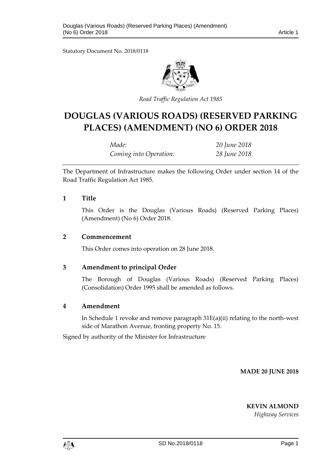Statutory Document No. 2018/0118



*Road Traffic Regulation Act 1985*

# **DOUGLAS (VARIOUS ROADS) (RESERVED PARKING PLACES) (AMENDMENT) (NO 6) ORDER 2018**

| Made:                  | 20 June 2018 |
|------------------------|--------------|
| Coming into Operation: | 28 June 2018 |

The Department of Infrastructure makes the following Order under section 14 of the Road Traffic Regulation Act 1985.

### **1 Title**

This Order is the Douglas (Various Roads) (Reserved Parking Places) (Amendment) (No 6) Order 2018.

#### **2 Commencement**

This Order comes into operation on 28 June 2018.

### **3 Amendment to principal Order**

The Borough of Douglas (Various Roads) (Reserved Parking Places) (Consolidation) Order 1995 shall be amended as follows.

### **4 Amendment**

In Schedule 1 revoke and remove paragraph 31E(a)(ii) relating to the north-west side of Marathon Avenue, fronting property No. 15.

Signed by authority of the Minister for Infrastructure

**MADE 20 JUNE 2018**

**KEVIN ALMOND**

*Highway Services*